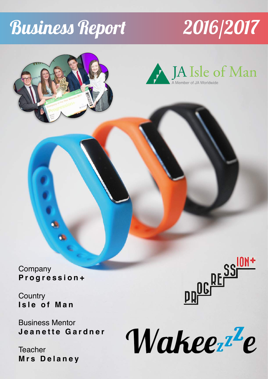# Business Report 2016/2017



Company **Progression+** 

**Country Isle of Man**

Business Mentor **Jeanette Gardner** 

**Teacher Mrs Delaney** 



Wakeer<sup>z</sup>e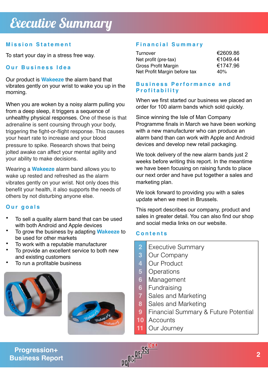### **Mission Statement**

To start your day in a stress free way.

### **Our Business Idea**

Our product is **Wakeeze** the alarm band that vibrates gently on your wrist to wake you up in the morning.

When you are woken by a noisy alarm pulling you [from a deep sleep, it triggers a sequence of](http://mhealthwatch.com/could-your-alarm-clock-trigger-a-heart-attack-21430/)  unhealthy physical responses. One of these is that adrenaline is sent coursing through your body, triggering the fight-or-flight response. This causes your heart rate to increase and your blood pressure to spike. Research shows that being jolted awake can affect your mental agility and your ability to make decisions.

Wearing a **Wakeeze** alarm band allows you to wake up rested and refreshed as the alarm vibrates gently on your wrist. Not only does this benefit your health, it also supports the needs of others by not disturbing anyone else.

#### **Our goals**

- To sell a quality alarm band that can be used with both Android and Apple devices
- To grow the business by adapting **Wakeeze** to be used for other markets
- To work with a reputable manufacturer
- To provide an excellent service to both new and existing customers
- To run a profitable business





# **Financial Summary**

| Turnover                     | €2609.86 |
|------------------------------|----------|
| Net profit (pre-tax)         | €1049.44 |
| Gross Profit Margin          | €1747.96 |
| Net Profit Margin before tax | 40%      |

#### **Business Performance and Profitability**

When we first started our business we placed an order for 100 alarm bands which sold quickly.

Since winning the Isle of Man Company Programme finals in March we have been working with a new manufacturer who can produce an alarm band than can work with Apple and Android devices and develop new retail packaging.

We took delivery of the new alarm bands just 2 weeks before writing this report. In the meantime we have been focusing on raising funds to place our next order and have put together a sales and marketing plan.

We look forward to providing you with a sales update when we meet in Brussels.

This report describes our company, product and sales in greater detail. You can also find our shop and social media links on our website.

#### **Contents**

- Executive Summary **2**
- Our Company **3**
- Our Product **4**
- **Operations 5**
- Management **6**
- Fundraising **6**
- Sales and Marketing **7**
- Sales and Marketing **8**
- Financial Summary & Future Potential **9**
- **Accounts 10**
- Our Journey **11**

# **Progression+ Business Report**

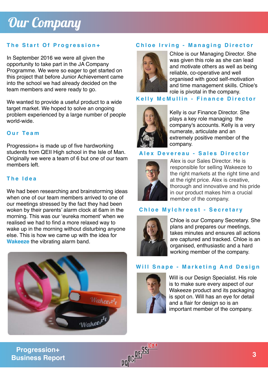# Our Company

In September 2016 we were all given the opportunity to take part in the JA Company Programme. We were so eager to get started on this project that before Junior Achievement came into the school we had already decided on the team members and were ready to go.

We wanted to provide a useful product to a wide target market. We hoped to solve an ongoing problem experienced by a large number of people world-wide.

#### **Our Team**

Progression+ is made up of five hardworking students from QEII High school in the Isle of Man. Originally we were a team of 6 but one of our team members left.

## **The Idea**

We had been researching and brainstorming ideas when one of our team members arrived to one of our meetings stressed by the fact they had been woken by their parents' alarm clock at 6am in the morning. This was our 'eureka moment' when we realised we had to find a more relaxed way to wake up in the morning without disturbing anyone else. This is how we came up with the idea for **Wakeeze** the vibrating alarm band.



# **The Start Of Progression+ Chloe Irving - Managing Director**



Chloe is our Managing Director. She was given this role as she can lead and motivate others as well as being reliable, co-operative and well organised with good self-motivation and time management skills. Chloe's role is pivotal in the company.

## **Kelly McMullin - Finance Director**



Kelly is our Finance Director. She plays a key role managing the company's accounts. Kelly is a very numerate, articulate and an extremely positive member of the company.

#### **Alex Devereau - Sales Director**



Alex is our Sales Director. He is responsible for selling Wakeeze to the right markets at the right time and at the right price. Alex is creative, thorough and innovative and his pride in our product makes him a crucial member of the company.

#### **Chloe Mylchreest - Secretary**



Chloe is our Company Secretary. She plans and prepares our meetings, takes minutes and ensures all actions are captured and tracked. Chloe is an organised, enthusiastic and a hard working member of the company.

#### **Will Snape - Marketing And Design**



Will is our Design Specialist. His role is to make sure every aspect of our Wakeeze product and its packaging is spot on. Will has an eye for detail and a flair for design so is an important member of the company.

**Business Report**

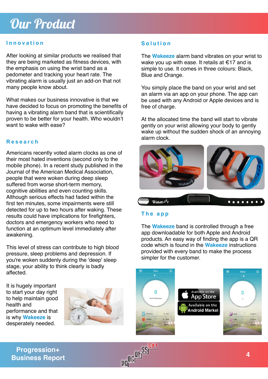# Our Product

#### **Innovation**

After looking at similar products we realised that they are being marketed as fitness devices, with the emphasis on using the wrist band as a pedometer and tracking your heart rate. The vibrating alarm is usually just an add-on that not many people know about.

What makes our business innovative is that we have decided to focus on promoting the benefits of having a vibrating alarm band that is scientifically proven to be better for your health. Who wouldn't want to wake with ease?

#### **Research**

Americans recently voted alarm clocks as one of their most hated inventions (second only to the mobile phone). In a recent study published in the Journal of the American Medical Association, people that were woken during deep sleep suffered from worse short-term memory, cognitive abilities and even counting skills. Although serious effects had faded within the first ten minutes, some impairments were still detected for up to two hours after waking. These results could have implications for firefighters, doctors and emergency workers who need to function at an optimum level immediately after awakening.

This level of stress can contribute to high blood pressure, sleep problems and depression. If you're woken suddenly during the 'deep' sleep stage, your ability to think clearly is badly affected.

It is hugely important to start your day right to help maintain good health and performance and that is why **Wakeeze** is desperately needed.



### **Solution**

The **Wakeeze** alarm band vibrates on your wrist to wake you up with ease. It retails at €17 and is simple to use. It comes in three colours: Black, Blue and Orange.

You simply place the band on your wrist and set an alarm via an app on your phone. The app can be used with any Android or Apple devices and is free of charge.

At the allocated time the band will start to vibrate gently on your wrist allowing your body to gently wake up without the sudden shock of an annoying alarm clock.



#### **The app**

The **Wakeeze** band is controlled through a free app downloadable for both Apple and Android products. An easy way of finding the app is a QR code which is found in the **Wakeeze** instructions provided with every band to make the process simpler for the customer.



**Progression+ Business Report**

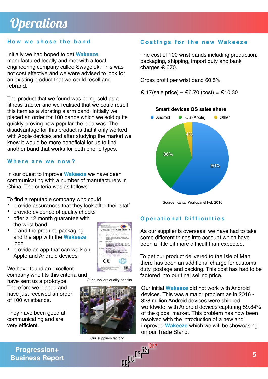#### **How we chose the band**

Initially we had hoped to get **Wakeeze** manufactured locally and met with a local engineering company called Swagelok. This was not cost effective and we were advised to look for an existing product that we could resell and rebrand.

The product that we found was being sold as a fitness tracker and we realised that we could resell this item as a vibrating alarm band. Initially we placed an order for 100 bands which we sold quite quickly proving how popular the idea was. The disadvantage for this product is that it only worked with Apple devices and after studying the market we knew it would be more beneficial for us to find another band that works for both phone types.

#### **Where are we now?**

In our quest to improve **Wakeeze** we have been communicating with a number of manufacturers in China. The criteria was as follows:

To find a reputable company who could

- provide assurances that they look after their staff
- provide evidence of quality checks
- offer a 12 month guarantee with the wrist band
- brand the product, packaging and the app with the **Wakeeze**  logo
- provide an app that can work on Apple and Android devices

We have found an excellent company who fits this criteria and

have sent us a prototype. Therefore we placed and have just received an order of 100 wristbands.

They have been good at communicating and are very efficient.



Our suppliers quality checks



Our suppliers factory<br>
OLE SSIDM +

#### **Costings for the new Wakeeze**

The cost of 100 wrist bands including production, packaging, shipping, import duty and bank charges  $\epsilon$  670.

Gross profit per wrist band 60.5%

€ 17(sale price) – €6.70 (cost) = €10.30



Source: Kantar Worldpanel Feb 2016

#### **Operational Difficulties**

As our supplier is overseas, we have had to take some different things into account which have been a little bit more difficult than expected.

To get our product delivered to the Isle of Man there has been an additional charge for customs duty, postage and packing. This cost has had to be factored into our final selling price.

Our initial **Wakeeze** did not work with Android devices. This was a major problem as in 2016 - 328 million Android devices were shipped worldwide, with Android devices capturing 59.84% of the global market. This problem has now been resolved with the introduction of a new and improved **Wakeeze** which we will be showcasing on our Trade Stand.

**Progression+ Business Report**

**5**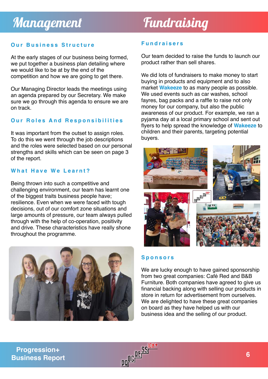### **Our Business Structure**

At the early stages of our business being formed, we put together a business plan detailing where we would like to be at by the end of the competition and how we are going to get there.

Our Managing Director leads the meetings using an agenda prepared by our Secretary. We make sure we go through this agenda to ensure we are on track.

#### **Our Roles And Responsibilities**

It was important from the outset to assign roles. To do this we went through the job descriptions and the roles were selected based on our personal strengths and skills which can be seen on page 3 of the report.

#### **What Have We Learnt?**

Being thrown into such a competitive and challenging environment, our team has learnt one of the biggest traits business people have; resilience. Even when we were faced with tough decisions, out of our comfort zone situations and large amounts of pressure, our team always pulled through with the help of co-operation, positivity and drive. These characteristics have really shone throughout the programme.



#### **Fundraisers**

Our team decided to raise the funds to launch our product rather than sell shares.

We did lots of fundraisers to make money to start buying in products and equipment and to also market **Wakeeze** to as many people as possible. We used events such as car washes, school fayres, bag packs and a raffle to raise not only money for our company, but also the public awareness of our product. For example, we ran a pyjama day at a local primary school and sent out flyers to help spread the knowledge of **Wakeeze** to children and their parents, targeting potential buyers.



#### **Sponsors**

We are lucky enough to have gained sponsorship from two great companies: Café Red and B&B Furniture. Both companies have agreed to give us financial backing along with selling our products in store in return for advertisement from ourselves. We are delighted to have these great companies on board as they have helped us with our business idea and the selling of our product.

**Progression+ Business Report**

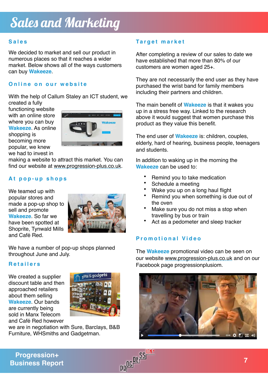#### **Sales**

We decided to market and sell our product in numerous places so that it reaches a wider market. Below shows all of the ways customers can buy **Wakeeze**.

#### **Online on our website**

With the help of Callum Staley an ICT student, we created a fully

functioning website with an online store where you can buy **Wakeeze**. As online shopping is becoming more popular, we knew we had to invest in



making a website to attract this market. You can find our website at www.progression-plus.co.uk.

#### **At pop-up shops**

We teamed up with popular stores and made a pop-up shop to sell and promote **Wakeeze**. So far we have been spotted at Shoprite, Tynwald Mills and Café Red.



We have a number of pop-up shops planned throughout June and July.

#### **Retailers**

We created a supplier discount table and then approached retailers about them selling **Wakeeze**. Our bands are currently being sold in Manx Telecom and Café Red however



we are in negotiation with Sure, Barclays, B&B Furniture, WHSmiths and Gadgetman.

#### **Target market**

After completing a review of our sales to date we have established that more than 80% of our customers are women aged 25+.

They are not necessarily the end user as they have purchased the wrist band for family members including their partners and children.

The main benefit of **Wakeeze** is that it wakes you up in a stress free way. Linked to the research above it would suggest that women purchase this product as they value this benefit.

The end user of **Wakeeze** is: children, couples, elderly, hard of hearing, business people, teenagers and students.

In addition to waking up in the morning the **Wakeeze** can be used to:

- Remind you to take medication
- Schedule a meeting
- Wake you up on a long haul flight
- Remind you when something is due out of the oven
- Make sure you do not miss a stop when travelling by bus or train
- Act as a pedometer and sleep tracker

#### **Promotional Video**

The **Wakeeze** promotional video can be seen on our website [www.progression-plus.co.uk](http://www.progression-plus.co.uk) and on our Facebook page progressionplusiom.



# **Progression+ Business Report**<br> **Business Report 7**

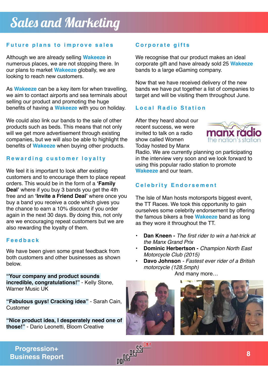## **Future plans to improve sales**

Although we are already selling **Wakeeze** in numerous places, we are not stopping there. In our plans to market **Wakeeze** globally, we are looking to reach new customers.

As **Wakeeze** can be a key item for when travelling, we aim to contact airports and sea terminals about selling our product and promoting the huge benefits of having a **Wakeeze** with you on holiday.

We could also link our bands to the sale of other products such as beds. This means that not only will we get more advertisement through existing companies, but we will also be able to highlight the benefits of **Wakeeze** when buying other products.

## **Rewarding customer loyalty**

We feel it is important to look after existing customers and to encourage them to place repeat orders. This would be in the form of a **'Family Deal'** where if you buy 3 bands you get the 4th free and an **'Invite a Friend Deal'** where once you buy a band you receive a code which gives you the chance to earn a 10% discount if you order again in the next 30 days. By doing this, not only are we encouraging repeat customers but we are also rewarding the loyalty of them.

#### **Feedback**

We have been given some great feedback from both customers and other businesses as shown below.

**"Your company and product sounds incredible, congratulations!"** - Kelly Stone, Warner Music UK

**"Fabulous guys! Cracking idea"** - Sarah Cain, **Customer** 

**"Nice product idea, I desperately need one of those!"** - Dario Leonetti, Bloom Creative

# **Corporate gifts**

We recognise that our product makes an ideal corporate gift and have already sold 25 **Wakeeze**  bands to a large eGaming company.

Now that we have received delivery of the new bands we have put together a list of companies to target and will be visiting them throughout June.

# **Local Radio Station**

After they heard about our recent success, we were invited to talk on a radio show called Women Today hosted by Manx



Radio. We are currently planning on participating in the interview very soon and we look forward to using this popular radio station to promote **Wakeeze** and our team.

# **Celebrity Endorsement**

The Isle of Man hosts motorsports biggest event, the TT Races. We took this opportunity to gain ourselves some celebrity endorsement by offering the famous bikers a free **Wakeeze** band as long as they wore it throughout the TT.

- **Dan Kneen -** *The first rider to win a hat-trick at the Manx Grand Prix*
- **• Dominic Herbertson** *Champion North East Motorcycle Club (2015)*
- **• Davo Johnson** *Fastest ever rider of a British motorcycle (128.5mph)*

And many more…





**Business Report**

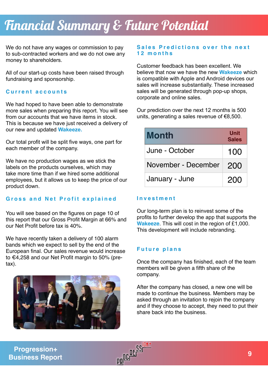# Fnancial Summary & Future Potential

We do not have any wages or commission to pay to sub-contracted workers and we do not owe any money to shareholders.

All of our start-up costs have been raised through fundraising and sponsorship.

#### **Current accounts**

We had hoped to have been able to demonstrate more sales when preparing this report. You will see from our accounts that we have items in stock. This is because we have just received a delivery of our new and updated **Wakeeze.** 

Our total profit will be split five ways, one part for each member of the company.

We have no production wages as we stick the labels on the products ourselves, which may take more time than if we hired some additional employees, but it allows us to keep the price of our product down.

#### **Gross and Net Profit explained**

You will see based on the figures on page 10 of this report that our Gross Profit Margin at 66% and our Net Profit before tax is 40%.

We have recently taken a delivery of 100 alarm bands which we expect to sell by the end of the European final. Our sales revenue would increase to €4,258 and our Net Profit margin to 50% (pretax).



#### **Sales Predictions over the next 12 months**

Customer feedback has been excellent. We believe that now we have the new **Wakeeze** which is compatible with Apple and Android devices our sales will increase substantially. These increased sales will be generated through pop-up shops, corporate and online sales.

Our prediction over the next 12 months is 500 units, generating a sales revenue of €8,500.

| <b>Month</b>        | Unit<br><b>Sales</b> |
|---------------------|----------------------|
| June - October      | 100                  |
| November - December | 200                  |
| January - June      | 200                  |

#### **I n vestment**

Our long-term plan is to reinvest some of the profits to further develop the app that supports the **Wakeeze**. This will cost in the region of £1,000. This development will include rebranding.

#### **Future plans**

Once the company has finished, each of the team members will be given a fifth share of the company.

After the company has closed, a new one will be made to continue the business. Members may be asked through an invitation to rejoin the company and if they choose to accept, they need to put their share back into the business.

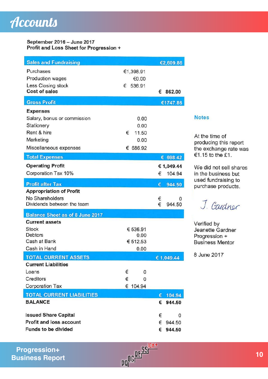#### September 2016 - June 2017 Profit and Loss Sheet for Progression +

| <b>Sales and Fundraising</b>               |             | €2,609.86   |
|--------------------------------------------|-------------|-------------|
| Purchases                                  | €1,398.91   |             |
| Production wages                           | €0.00       |             |
| Less Closing stock<br><b>Cost of sales</b> | 536.91<br>€ |             |
|                                            |             | 862.00<br>€ |
| <b>Gross Profit</b>                        |             | €1747.86    |
| <b>Expenses</b>                            |             |             |
| Salary, bonus or commission                | 0.00        |             |
| Stationery                                 | 0.00        |             |
| Rent & hire                                | €<br>11.50  |             |
| Marketing                                  | 0.00        |             |
| Miscellaneous expenses                     | € 686.92    |             |
| <b>Total Expenses</b>                      |             | 698.42      |
| <b>Operating Profit</b>                    |             | € 1,049.44  |
| Corporation Tax 10%                        |             | 104.94<br>€ |
| <b>Profit after Tax</b>                    |             | 944.50<br>€ |
| <b>Appropriation of Profit</b>             |             |             |
| No Shareholders                            |             | €<br>0      |
| Dividends between the team                 |             | €<br>944.50 |
| <b>Balance Sheet as of 8 June 2017</b>     |             |             |
| <b>Current assets</b>                      |             |             |
| <b>Stock</b>                               | € 536.91    |             |
| <b>Debtors</b>                             | 0.00        |             |
| Cash at Bank                               | € 512.53    |             |
| Cash in Hand                               | 0.00        |             |
| <b>TOTAL CURRENT ASSETS</b>                |             | € 1,049.44  |
| <b>Current Liabilities</b>                 |             |             |
| Loans                                      | €<br>0      |             |
| Creditors                                  | €<br>0      |             |
| <b>Corporation Tax</b>                     | € 104.94    |             |
| <b>TOTAL CURRENT LIABILITIES</b>           |             | 104.94<br>€ |
| <b>BALANCE</b>                             |             | 944.50<br>€ |
| <b>Issued Share Capital</b>                |             | €<br>0      |
| <b>Profit and loss account</b>             |             | €<br>944.50 |
| Funds to be divided                        |             | 944.50<br>€ |

#### **Notes**

At the time of producing this report the exchange rate was €1.15 to the £1.

We did not sell shares in the business but used fundraising to purchase products.

J. Gardner

Verified by Jeanette Gardner Progression + **Business Mentor** 

8 June 2017